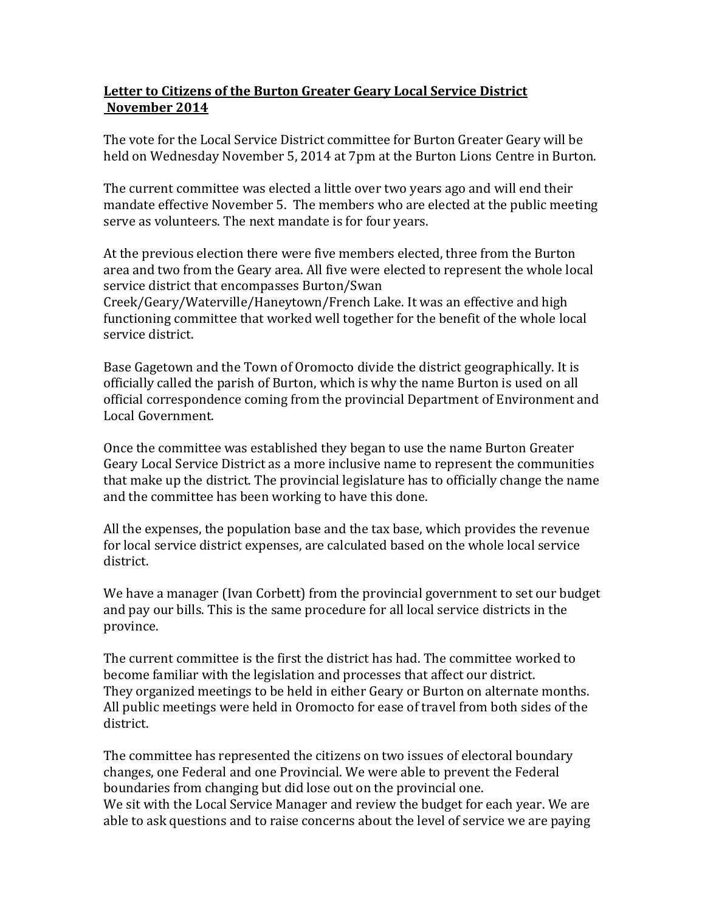## **Letter to Citizens of the Burton Greater Geary Local Service District November 2014**

The vote for the Local Service District committee for Burton Greater Geary will be held on Wednesday November 5, 2014 at 7pm at the Burton Lions Centre in Burton.

The current committee was elected a little over two years ago and will end their mandate effective November 5. The members who are elected at the public meeting serve as volunteers. The next mandate is for four years.

At the previous election there were five members elected, three from the Burton area and two from the Geary area. All five were elected to represent the whole local service district that encompasses Burton/Swan

Creek/Geary/Waterville/Haneytown/French Lake. It was an effective and high functioning committee that worked well together for the benefit of the whole local service district.

Base Gagetown and the Town of Oromocto divide the district geographically. It is officially called the parish of Burton, which is why the name Burton is used on all official correspondence coming from the provincial Department of Environment and Local Government.

Once the committee was established they began to use the name Burton Greater Geary Local Service District as a more inclusive name to represent the communities that make up the district. The provincial legislature has to officially change the name and the committee has been working to have this done.

All the expenses, the population base and the tax base, which provides the revenue for local service district expenses, are calculated based on the whole local service district.

We have a manager (Ivan Corbett) from the provincial government to set our budget and pay our bills. This is the same procedure for all local service districts in the province.

The current committee is the first the district has had. The committee worked to become familiar with the legislation and processes that affect our district. They organized meetings to be held in either Geary or Burton on alternate months. All public meetings were held in Oromocto for ease of travel from both sides of the district.

The committee has represented the citizens on two issues of electoral boundary changes, one Federal and one Provincial. We were able to prevent the Federal boundaries from changing but did lose out on the provincial one. We sit with the Local Service Manager and review the budget for each year. We are able to ask questions and to raise concerns about the level of service we are paying